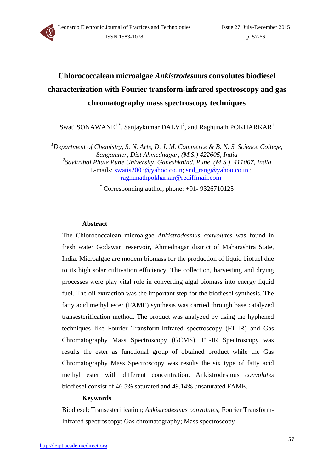

# **Chlorococcalean microalgae** *Ankistrodesmu***s convolutes biodiesel characterization with Fourier transform-infrared spectroscopy and gas chromatography mass spectroscopy techniques**

Swati SONAWANE<sup>1,\*</sup>, Sanjaykumar DALVI<sup>2</sup>, and Raghunath POKHARKAR<sup>1</sup>

<sup>1</sup>Department of Chemistry, S. N. Arts, D. J. M. Commerce & B. N. S. Science College, *Sangamner, Dist Ahmednagar, (M.S.) 422605, India 2 Savitribai Phule Pune University, Ganeshkhind, Pune, (M.S.), 411007, India*  E-mails: [swatis2003@yahoo.co.in](mailto:swatis2003@yahoo.co.in); [snd\\_rang@yahoo.co.in](mailto:snd_rang@yahoo.co.in) ; [raghunathpokharkar@rediffmail.com](mailto:raghunathpokharkar@rediffmail.com)

\* Corresponding author, phone: +91- 9326710125

## **Abstract**

The Chlorococcalean microalgae *Ankistrodesmus convolutes* was found in fresh water Godawari reservoir, Ahmednagar district of Maharashtra State, India. Microalgae are modern biomass for the production of liquid biofuel due to its high solar cultivation efficiency. The collection, harvesting and drying processes were play vital role in converting algal biomass into energy liquid fuel. The oil extraction was the important step for the biodiesel synthesis. The fatty acid methyl ester (FAME) synthesis was carried through base catalyzed transesterification method. The product was analyzed by using the hyphened techniques like Fourier Transform-Infrared spectroscopy (FT-IR) and Gas Chromatography Mass Spectroscopy (GCMS). FT-IR Spectroscopy was results the ester as functional group of obtained product while the Gas Chromatography Mass Spectroscopy was results the six type of fatty acid methyl ester with different concentration. Ankistrodesmus *convolutes* biodiesel consist of 46.5% saturated and 49.14% unsaturated FAME.

## **Keywords**

Biodiesel; Transesterification; *Ankistrodesmus convolutes*; Fourier Transform-Infrared spectroscopy; Gas chromatography; Mass spectroscopy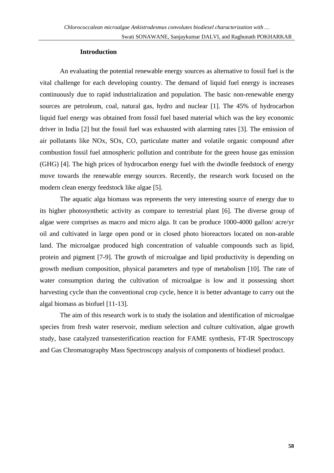#### **Introduction**

An evaluating the potential renewable energy sources as alternative to fossil fuel is the vital challenge for each developing country. The demand of liquid fuel energy is increases continuously due to rapid industrialization and population. The basic non-renewable energy sources are petroleum, coal, natural gas, hydro and nuclear [1]. The 45% of hydrocarbon liquid fuel energy was obtained from fossil fuel based material which was the key economic driver in India [2] but the fossil fuel was exhausted with alarming rates [3]. The emission of air pollutants like NOx, SOx, CO, particulate matter and volatile organic compound after combustion fossil fuel atmospheric pollution and contribute for the green house gas emission (GHG) [4]. The high prices of hydrocarbon energy fuel with the dwindle feedstock of energy move towards the renewable energy sources. Recently, the research work focused on the modern clean energy feedstock like algae [5].

The aquatic alga biomass was represents the very interesting source of energy due to its higher photosynthetic activity as compare to terrestrial plant [6]. The diverse group of algae were comprises as macro and micro alga. It can be produce 1000-4000 gallon/ acre/yr oil and cultivated in large open pond or in closed photo bioreactors located on non-arable land. The microalgae produced high concentration of valuable compounds such as lipid, protein and pigment [7-9]. The growth of microalgae and lipid productivity is depending on growth medium composition, physical parameters and type of metabolism [10]. The rate of water consumption during the cultivation of microalgae is low and it possessing short harvesting cycle than the conventional crop cycle, hence it is better advantage to carry out the algal biomass as biofuel [11-13].

The aim of this research work is to study the isolation and identification of microalgae species from fresh water reservoir, medium selection and culture cultivation, algae growth study, base catalyzed transesterification reaction for FAME synthesis, FT-IR Spectroscopy and Gas Chromatography Mass Spectroscopy analysis of components of biodiesel product.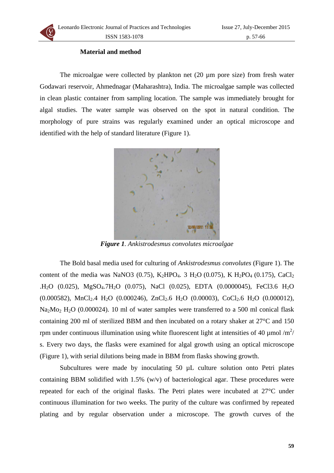

## **Material and method**

The microalgae were collected by plankton net (20 µm pore size) from fresh water Godawari reservoir, Ahmednagar (Maharashtra), India. The microalgae sample was collected in clean plastic container from sampling location. The sample was immediately brought for algal studies. The water sample was observed on the spot in natural condition. The morphology of pure strains was regularly examined under an optical microscope and identified with the help of standard literature (Figure 1).



*Figure 1. Ankistrodesmus convolutes microalgae* 

The Bold basal media used for culturing of *Ankistrodesmus convolutes* (Figure 1). The content of the media was NaNO3 (0.75), K<sub>2</sub>HPO<sub>4</sub>. 3 H<sub>2</sub>O (0.075), K H<sub>2</sub>PO<sub>4</sub> (0.175), CaCl<sub>2</sub> .H<sub>2</sub>O (0.025), MgSO<sub>4</sub>.7H<sub>2</sub>O (0.075), NaCl (0.025), EDTA (0.0000045), FeCl3.6 H<sub>2</sub>O  $(0.000582)$ , MnCl<sub>2</sub>.4 H<sub>2</sub>O  $(0.000246)$ , ZnCl<sub>2</sub>.6 H<sub>2</sub>O  $(0.00003)$ , CoCl<sub>2</sub>.6 H<sub>2</sub>O  $(0.000012)$ , Na<sub>2</sub>Mo<sub>2</sub> H<sub>2</sub>O (0.000024). 10 ml of water samples were transferred to a 500 ml conical flask containing 200 ml of sterilized BBM and then incubated on a rotary shaker at 27°C and 150 rpm under continuous illumination using white fluorescent light at intensities of 40  $\mu$ mol /m<sup>2</sup>/ s. Every two days, the flasks were examined for algal growth using an optical microscope (Figure 1), with serial dilutions being made in BBM from flasks showing growth.

Subcultures were made by inoculating 50  $\mu$ L culture solution onto Petri plates containing BBM solidified with 1.5% (w/v) of bacteriological agar. These procedures were repeated for each of the original flasks. The Petri plates were incubated at 27°C under continuous illumination for two weeks. The purity of the culture was confirmed by repeated plating and by regular observation under a microscope. The growth curves of the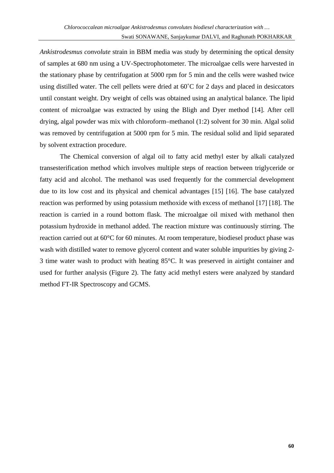*Ankistrodesmus convolute* strain in BBM media was study by determining the optical density of samples at 680 nm using a UV-Spectrophotometer. The microalgae cells were harvested in the stationary phase by centrifugation at 5000 rpm for 5 min and the cells were washed twice using distilled water. The cell pellets were dried at 60˚C for 2 days and placed in desiccators until constant weight. Dry weight of cells was obtained using an analytical balance. The lipid content of microalgae was extracted by using the Bligh and Dyer method [14]. After cell drying, algal powder was mix with chloroform–methanol (1:2) solvent for 30 min. Algal solid was removed by centrifugation at 5000 rpm for 5 min. The residual solid and lipid separated by solvent extraction procedure.

The Chemical conversion of algal oil to fatty acid methyl ester by alkali catalyzed transesterification method which involves multiple steps of reaction between triglyceride or fatty acid and alcohol. The methanol was used frequently for the commercial development due to its low cost and its physical and chemical advantages [15] [16]. The base catalyzed reaction was performed by using potassium methoxide with excess of methanol [17] [18]. The reaction is carried in a round bottom flask. The microalgae oil mixed with methanol then potassium hydroxide in methanol added. The reaction mixture was continuously stirring. The reaction carried out at 60°C for 60 minutes. At room temperature, biodiesel product phase was wash with distilled water to remove glycerol content and water soluble impurities by giving 2-3 time water wash to product with heating 85°C. It was preserved in airtight container and used for further analysis (Figure 2). The fatty acid methyl esters were analyzed by standard method FT-IR Spectroscopy and GCMS.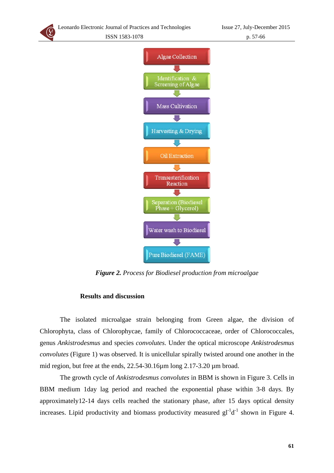



*Figure 2. Process for Biodiesel production from microalgae* 

#### **Results and discussion**

The isolated microalgae strain belonging from Green algae, the division of Chlorophyta, class of Chlorophycae, family of Chlorococcaceae, order of Chlorococcales, genus *Ankistrodesmus* and species *convolutes.* Under the optical microscope *Ankistrodesmus convolutes* (Figure 1) was observed. It is unicellular spirally twisted around one another in the mid region, but free at the ends, 22.54-30.16 $\mu$ m long 2.17-3.20  $\mu$ m broad.

The growth cycle of *Ankistrodesmus convolutes* in BBM is shown in Figure 3. Cells in BBM medium 1day lag period and reached the exponential phase within 3-8 days. By approximately12-14 days cells reached the stationary phase, after 15 days optical density increases. Lipid productivity and biomass productivity measured  $gl^{-1}d^{-1}$  shown in Figure 4.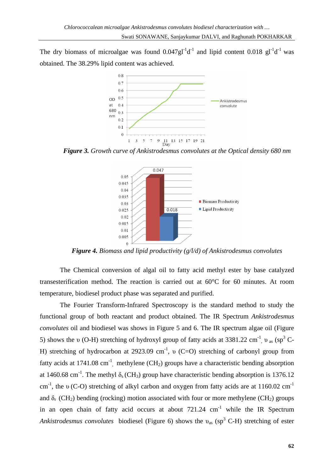The dry biomass of microalgae was found  $0.047gt^{-1}d^{-1}$  and lipid content  $0.018gt^{-1}d^{-1}$  was obtained. The 38.29% lipid content was achieved.



*Figure 3. Growth curve of Ankistrodesmus convolutes at the Optical density 680 nm*



*Figure 4. Biomass and lipid productivity (g/l/d) of Ankistrodesmus convolutes* 

The Chemical conversion of algal oil to fatty acid methyl ester by base catalyzed transesterification method. The reaction is carried out at 60°C for 60 minutes. At room temperature, biodiesel product phase was separated and purified.

The Fourier Transform-Infrared Spectroscopy is the standard method to study the functional group of both reactant and product obtained. The IR Spectrum *Ankistrodesmus convolutes* oil and biodiesel was shows in Figure 5 and 6. The IR spectrum algae oil (Figure 5) shows the υ (O-H) stretching of hydroxyl group of fatty acids at 3381.22 cm<sup>-1</sup>, υ<sub>as</sub> (sp<sup>3</sup> C-H) stretching of hydrocarbon at 2923.09 cm<sup>-1</sup>, v (C=O) stretching of carbonyl group from fatty acids at 1741.08 cm<sup>-1</sup>, methylene (CH<sub>2</sub>) groups have a characteristic bending absorption at 1460.68 cm<sup>-1</sup>. The methyl  $\delta_s$  (CH<sub>3</sub>) group have characteristic bending absorption is 1376.12 cm-1, the υ (C-O) stretching of alkyl carbon and oxygen from fatty acids are at 1160.02 cm-1 and  $\delta_r$  (CH<sub>2</sub>) bending (rocking) motion associated with four or more methylene (CH<sub>2</sub>) groups in an open chain of fatty acid occurs at about  $721.24 \text{ cm}^{-1}$  while the IR Spectrum Ankistrodesmus convolutes biodiesel (Figure 6) shows the v<sub>as</sub> (sp<sup>3</sup> C-H) stretching of ester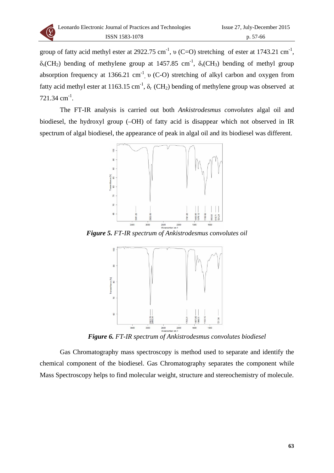

group of fatty acid methyl ester at 2922.75 cm<sup>-1</sup>, v (C=O) stretching of ester at 1743.21 cm<sup>-1</sup>,  $\delta_s$ (CH<sub>2</sub>) bending of methylene group at 1457.85 cm<sup>-1</sup>,  $\delta_s$ (CH<sub>3</sub>) bending of methyl group absorption frequency at 1366.21 cm<sup>-1</sup>, v (C-O) stretching of alkyl carbon and oxygen from fatty acid methyl ester at 1163.15 cm<sup>-1</sup>,  $\delta_r$  (CH<sub>2</sub>) bending of methylene group was observed at 721.34 cm-1.

The FT-IR analysis is carried out both *Ankistrodesmus convolutes* algal oil and biodiesel, the hydroxyl group (–OH) of fatty acid is disappear which not observed in IR spectrum of algal biodiesel, the appearance of peak in algal oil and its biodiesel was different.



*Figure 5. FT-IR spectrum of Ankistrodesmus convolutes oil* 



*Figure 6. FT-IR spectrum of Ankistrodesmus convolutes biodiesel* 

Gas Chromatography mass spectroscopy is method used to separate and identify the chemic al component of the biodiesel. Gas Chromatography separates the component while Mass Spectroscopy helps to find molecular weight, structure and stereochemistry of molecule.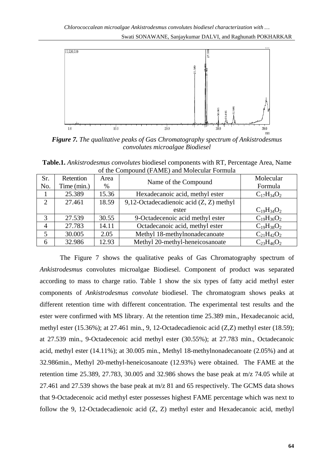Swati SONAWANE, Sanjaykumar DALVI, and Raghunath POKHARKAR



*Figure 7. The qualitative peaks of Gas Chromatography spectrum of Ankistrodesmus convolutes microalgae Biodiesel* 

**Table.1.** *Ankistrodesmus convolutes* biodiesel components with RT, Percentage Area, Name of the Compound (FAME) and Molecular Formula

| Sr.<br>No. | Retention<br>Time (min.) | Area<br>$\%$ | Name of the Compound                      | Molecular<br>Formula |
|------------|--------------------------|--------------|-------------------------------------------|----------------------|
|            | 25.389                   | 15.36        | Hexadecanoic acid, methyl ester           | $C_{17}H_{34}O_2$    |
| 2          | 27.461                   | 18.59        | 9,12-Octadecadienoic acid $(Z, Z)$ methyl |                      |
|            |                          |              | ester                                     | $C_{19}H_{34}O_2$    |
| 3          | 27.539                   | 30.55        | 9-Octadecenoic acid methyl ester          | $C_{19}H_{36}O_2$    |
| 4          | 27.783                   | 14.11        | Octadecanoic acid, methyl ester           | $C_{19}H_{38}O_2$    |
| 5          | 30.005                   | 2.05         | Methyl 18-methylnonadecanoate             | $C_{21}H_{42}O_2$    |
| 6          | 32.986                   | 12.93        | Methyl 20-methyl-heneicosanoate           | $C_{23}H_{46}O_2$    |

The Figure 7 shows the qualitative peaks of Gas Chromatography spectrum of *Ankistrodesmus* convolutes microalgae Biodiesel. Component of product was separated according to mass to charge ratio. Table 1 show the six types of fatty acid methyl ester components of *Ankistrodesmus convolute* biodiesel. The chromatogram shows peaks at different retention time with different concentration. The experimental test results and the ester were confirmed with MS library. At the retention time 25.389 min., Hexadecanoic acid, methyl ester (15.36%); at 27.461 min., 9, 12-Octadecadienoic acid (Z,Z) methyl ester (18.59); at 27.539 min., 9-Octadecenoic acid methyl ester (30.55%); at 27.783 min., Octadecanoic acid, methyl ester (14.11%); at 30.005 min., Methyl 18-methylnonadecanoate (2.05%) and at 32.986min., Methyl 20-methyl-heneicosanoate (12.93%) were obtained. The FAME at the retention time 25.389, 27.783, 30.005 and 32.986 shows the base peak at m/z 74.05 while at 27.461 and 27.539 shows the base peak at m/z 81 and 65 respectively. The GCMS data shows that 9-Octadecenoic acid methyl ester possesses highest FAME percentage which was next to follow the 9, 12-Octadecadienoic acid (Z, Z) methyl ester and Hexadecanoic acid, methyl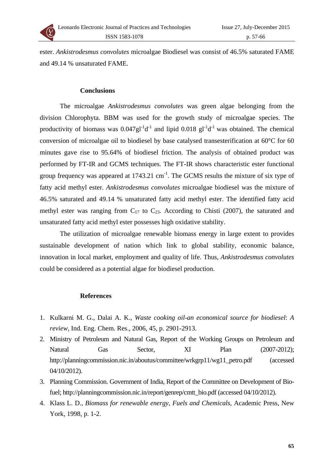

ester. *Ankistrodesmus convolutes* microalgae Biodiesel was consist of 46.5% saturated FAME and 49.14 % unsaturated FAME.

#### **Conclusions**

The microalgae *Ankistrodesmus convolutes* was green algae belonging from the division Chlorophyta. BBM was used for the growth study of microalgae species. The productivity of biomass was  $0.047gl^{-1}d^{-1}$  and lipid  $0.018$   $gl^{-1}d^{-1}$  was obtained. The chemical conversion of microalgae oil to biodiesel by base catalysed transesterification at 60°C for 60 minutes gave rise to 95.64% of biodiesel friction. The analysis of obtained product was performed by FT-IR and GCMS techniques. The FT-IR shows characteristic ester functional group frequency was appeared at  $1743.21 \text{ cm}^{-1}$ . The GCMS results the mixture of six type of fatty acid methyl ester. *Ankistrodesmus convolutes* microalgae biodiesel was the mixture of 46.5% saturated and 49.14 % unsaturated fatty acid methyl ester. The identified fatty acid methyl ester was ranging from  $C_{17}$  to  $C_{23}$ . According to Chisti (2007), the saturated and unsaturated fatty acid methyl ester possesses high oxidative stability.

The utilization of microalgae renewable biomass energy in large extent to provides sustainable development of nation which link to global stability, economic balance, innovation in local market, employment and quality of life. Thus, *Ankistrodesmus convolutes* could be considered as a potential algae for biodiesel production.

#### **References**

- 1. Kulkarni M. G., Dalai A. K., *Waste cooking oil-an economical source for biodiesel*: *A review*, Ind. Eng. Chem. Res., 2006, 45, p. 2901-2913.
- 2. Ministry of Petroleum and Natural Gas, Report of the Working Groups on Petroleum and Natural Gas Sector, XI Plan (2007-2012); http://planningcommission.nic.in/aboutus/committee/wrkgrp11/wg11\_petro.pdf (accessed 04/10/2012).
- 3. Planning Commission. Government of India, Report of the Committee on Development of Biofuel; http://planningcommission.nic.in/report/genrep/cmtt\_bio.pdf (accessed 04/10/2012).
- 4. Klass L. D., *Biomass for renewable energy, Fuels and Chemicals*, Academic Press, New York, 1998, p. 1-2.